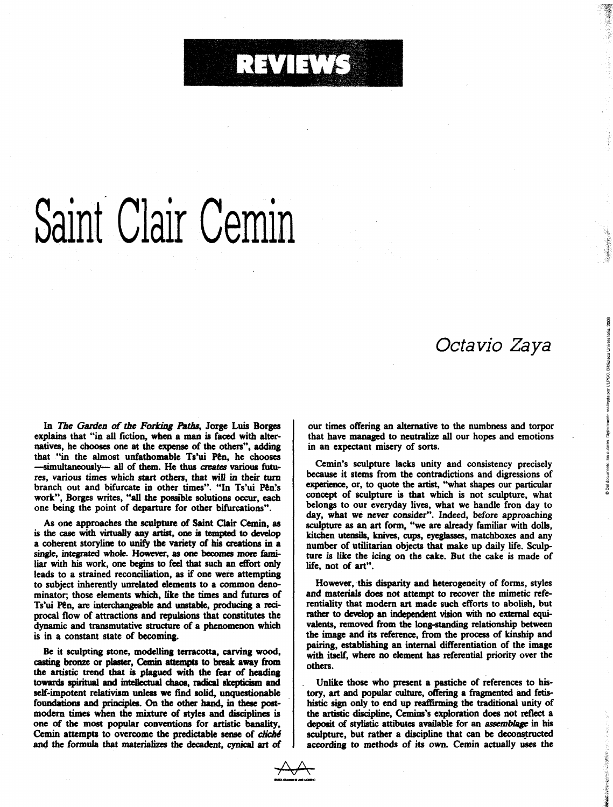## RATHER

## Saint Clair Cemin

## Octavio Zaya

® Del documento, los autores. Digitalización realizada por ULPGC. Biblioteca Universitaria, 2006

「マート」というのがある。その記事を実現を実現する場合

In The Garden of the Forking Paths, Jorge Luis Borges explains that "in all fiction, when a man is faced with alternatives, he chooses one at the expense of the others", adding that "in the almost unfathomable Ts'ui Pên, he chooses -simultaneously- all of them. He thus creates various futures, various times which start others, that will in their turn branch out and bifurcate in other times". "In Ts'ui Pên's work". Borges writes, "all the possible solutions occur, each one being the point of departure for other bifurcations".

As one approaches the sculpture of Saint Clair Cemin, as is the case with virtually any artist, one is tempted to develop a coherent storyline to unify the variety of his creations in a single, integrated whole. However, as one becomes more familiar with his work, one begins to feel that such an effort only leads to a strained reconciliation, as if one were attempting to subject inherently unrelated elements to a common denominator; those elements which, like the times and futures of Ts'ui Pên, are interchangeable and unstable, producing a reciprocal flow of attractions and repulsions that constitutes the dynamic and transmutative structure of a phenomenon which is in a constant state of becoming.

Be it sculpting stone, modelling terracotta, carving wood, casting bronze or plaster, Cemin attempts to break away from the artistic trend that is plagued with the fear of heading towards spiritual and intellectual chaos, radical skepticism and self-impotent relativism unless we find solid, unquestionable foundations and principles. On the other hand, in these postmodern times when the mixture of styles and disciplines is one of the most popular conventions for artistic banality, Cemin attempts to overcome the predictable sense of cliché and the formula that materializes the decadent, cynical art of

our times offering an alternative to the numbness and torpor that have managed to neutralize all our hopes and emotions in an expectant misery of sorts.

Cemin's sculpture lacks unity and consistency precisely because it stems from the contradictions and digressions of experience, or, to quote the artist, "what shapes our particular concept of sculpture is that which is not sculpture, what belongs to our everyday lives, what we handle fron day to day, what we never consider". Indeed, before approaching sculpture as an art form, "we are already familiar with dolls, kitchen utensils, knives, cups, eyeglasses, matchboxes and any number of utilitarian objects that make up daily life. Sculpture is like the icing on the cake. But the cake is made of life, not of art".

However, this disparity and heterogeneity of forms, styles and materials does not attempt to recover the mimetic referentiality that modern art made such efforts to abolish, but rather to develop an independent vision with no external equivalents, removed from the long-standing relationship between the image and its reference, from the process of kinship and pairing, establishing an internal differentiation of the image with itself, where no element has referential priority over the others.

Unlike those who present a pastiche of references to history, art and popular culture, offering a fragmented and fetishistic sign only to end up reaffirming the traditional unity of the artistic discipline, Cemins's exploration does not reflect a deposit of stylistic attibutes available for an *assemblage* in his sculpture, but rather a discipline that can be deconstructed according to methods of its own. Cemin actually uses the

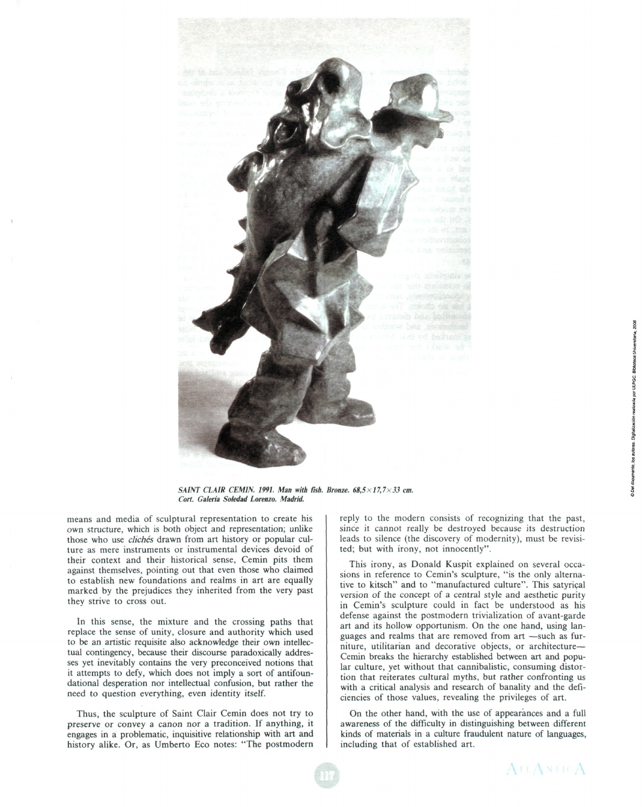

*SAINT CLAIR CEMIN. 1991. Man with íish. Brome. 68,5x17,7x33* cm. *Cort. Galería Soledad Lorenzo. Madrid.* 

means and media of sculptural representation to create his own structure, which is both object and representation; unlike those who use *clichés* drawn from art history or popular culture as mere instruments or instrumental devices devoid of their context and their historical sense, Cemin pits them against themselves, pointing out that even those who claimed to establish new foundations and realms in art are equally marked by the prejudices they inherited from the very past they strive to cross out.

In this sense, the mixture and the crossing paths that replace the sense of unity, closure and authority which used to be an artistic requisite also acknowledge their own intellectual contingency, because their discourse paradoxically addresses yet inevitably contains the very preconceived notions that it attempts to defy, which does not imply a sort of antifoundational desperation nor intellectual confusion, but rather the need to question everything, even identity itself.

**Thus,** the sculpture of Saint Clair Cemin does not try to preserve or convey a canon ñor a tradition. If anything, it engages in a problematic, inquisitive relationship with art and history alike. Or, as Umberto Eco notes: "The postmodern reply to the modern consists of recognizing that the past, since it cannot really be destroyed because its destruction leads to silence (the discovery of modernity), must be revisited; but with irony, not innocently".

This irony, as Donald Kuspit explained on several occasions in reference to Cemin's sculpture, "is the only alternative to kitsch" and to "manufactured culture". This satyrical version of the concept of a central style and aesthetic purity in Cemin's sculpture could in fact be understood as his defense against the postmodern trivialization of avant-garde art and its hollow opportunism. On the one hand, using languages and realms that are removed from art —such as furniture, utilitarian and decorative objects, or architecture— Cemin breaks the hierarchy established between art and popular culture, yet without that cannibalistic, consuming distortion that reiterates cultural myths, but rather confronting us with a critical analysis and research of banality and the deficiencies of those values, revealing the privileges of art.

On the other hand, with the use of appearances and a full awareness of the difficulty in distinguishing between different kinds of materials in a culture fraudulent nature of languages, including that of established art.